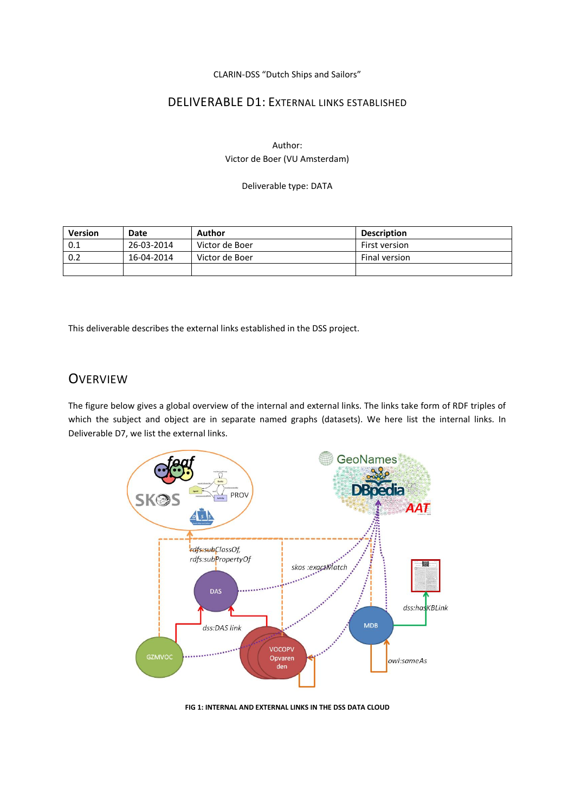CLARIN-DSS "Dutch Ships and Sailors"

#### DELIVERABLE D1: EXTERNAL LINKS ESTABLISHED

Author: Victor de Boer (VU Amsterdam)

Deliverable type: DATA

| <b>Version</b> | Date       | Author         | <b>Description</b> |
|----------------|------------|----------------|--------------------|
| 0.1            | 26-03-2014 | Victor de Boer | First version      |
| 0.2            | 16-04-2014 | Victor de Boer | Final version      |
|                |            |                |                    |

This deliverable describes the external links established in the DSS project.

### **OVERVIEW**

The figure below gives a global overview of the internal and external links. The links take form of RDF triples of which the subject and object are in separate named graphs (datasets). We here list the internal links. In Deliverable D7, we list the external links.



**FIG 1: INTERNAL AND EXTERNAL LINKS IN THE DSS DATA CLOUD**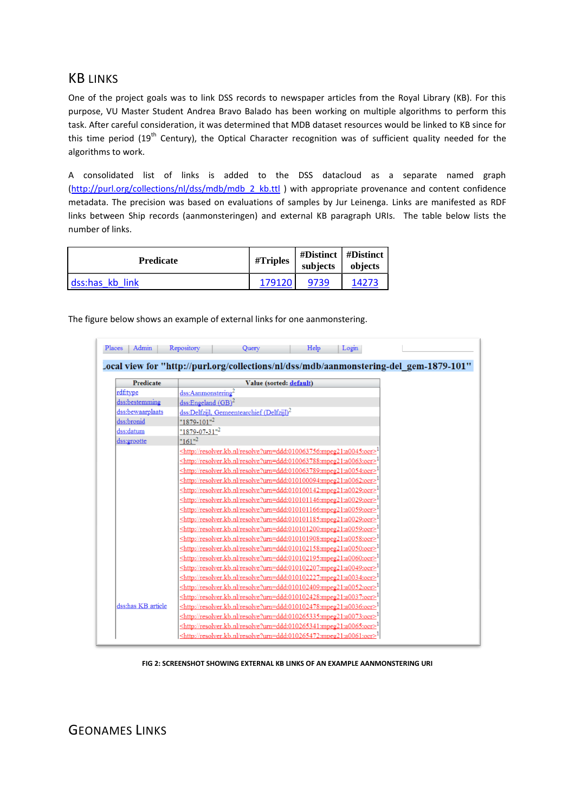## KB LINKS

One of the project goals was to link DSS records to newspaper articles from the Royal Library (KB). For this purpose, VU Master Student Andrea Bravo Balado has been working on multiple algorithms to perform this task. After careful consideration, it was determined that MDB dataset resources would be linked to KB since for this time period (19<sup>th</sup> Century), the Optical Character recognition was of sufficient quality needed for the algorithms to work.

A consolidated list of links is added to the DSS datacloud as a separate named graph [\(http://purl.org/collections/nl/dss/mdb/mdb\\_2\\_kb.ttl](http://purl.org/collections/nl/dss/mdb/mdb_2_kb.ttl) ) with appropriate provenance and content confidence metadata. The precision was based on evaluations of samples by Jur Leinenga. Links are manifested as RDF links between Ship records (aanmonsteringen) and external KB paragraph URIs. The table below lists the number of links.

| <b>Predicate</b> | #Triples | subjects | #Distinct   #Distinct<br>objects |
|------------------|----------|----------|----------------------------------|
| dss:has kb link  | 179120   | 9739     | 14273                            |

The figure below shows an example of external links for one aanmonstering.

| Admin<br>Places    | Repository<br>Help<br>Login<br>Query                                                   |
|--------------------|----------------------------------------------------------------------------------------|
|                    | Local view for "http://purl.org/collections/nl/dss/mdb/aanmonstering-del_gem-1879-101" |
|                    |                                                                                        |
| <b>Predicate</b>   | Value (sorted: default)                                                                |
| rdf:type           | dss:Aanmonstering <sup>2</sup>                                                         |
| dss:bestemming     | dss:Engeland $(GB)^2$                                                                  |
| dss:bewaarplaats   | dss:Delfzijl, Gemeentearchief $(Delfzijl)^2$                                           |
| dss:bronid         | $"1879-101"^{2}$                                                                       |
| dss:datum          | $"1879-07-31"^{2}$                                                                     |
| dss:grootte        | " $161$ " <sup>2</sup>                                                                 |
|                    | <http: resolve?urn="ddd:010063756:mpeg21:a0045:ocr" resolver.kb.nl=""></http:>         |
|                    | <http: resolve?urn="ddd:010063788:mpeg21:a0063:ocr" resolver.kb.nl=""></http:>         |
|                    | <http: resolve?urn="ddd:010063789:mpeg21:a0054:ocr" resolver.kb.nl=""></http:>         |
|                    | <http: resolve?urn="ddd:010100094:mpeg21:a0062:ocr" resolver.kb.nl=""></http:>         |
|                    | <http: resolve?urn="ddd:010100142:mpeg21:a0029:ocr" resolver.kb.nl=""></http:>         |
|                    | <http: resolve?urn="ddd:010101146:mpeg21:a0029:ocr" resolver.kb.nl=""></http:>         |
|                    | <http: resolve?urn="ddd:010101166:mpeg21:a0059:ocr" resolver.kb.nl=""></http:>         |
|                    | <http: resolve?urn="ddd:010101185:mpeg21:a0029:ocr" resolver.kb.nl=""></http:>         |
|                    | <http: resolve?urn="ddd:010101200:mpeg21:a0059:ocr" resolver.kb.nl=""></http:>         |
|                    | <http: resolve?urn="ddd:010101908:mpeg21:a0058:ocr" resolver.kb.nl=""></http:>         |
|                    | <http: resolve?urn="ddd:010102158:mpeg21:a0050:ocr" resolver.kb.nl=""></http:>         |
|                    | <http: resolve?urn="ddd:010102195:mpeg21:a0060:ocr" resolver.kb.nl=""></http:>         |
|                    | <http: resolve?urn="ddd:010102207:mpeg21:a0049:ocr" resolver.kb.nl=""></http:>         |
|                    | <http: resolve?urn="ddd:010102227:mpeg21:a0034:ocr" resolver.kb.nl=""></http:>         |
|                    | <http: resolve?urn="ddd:010102409:mpeg21:a0052:ocr" resolver.kb.nl=""></http:>         |
|                    | <http: resolve?urn="ddd:010102428:mpeg21:a0037:ocr" resolver.kb.nl=""></http:>         |
| dss:has KB article | <http: resolve?urn="ddd:010102478:mpeg21:a0036:ocr" resolver.kb.nl=""></http:>         |
|                    | <http: resolve?urn="ddd:010265335:mpeg21:a0073:ocr" resolver.kb.nl=""></http:>         |
|                    | <http: resolve?urn="ddd:010265341:mpeg21:a0065:ocr" resolver.kb.nl=""></http:>         |
|                    | $\leq$ http://resolver.kb.nl/resolve?urn=ddd:010265472:mpeg21:a0061:ocr>               |

**FIG 2: SCREENSHOT SHOWING EXTERNAL KB LINKS OF AN EXAMPLE AANMONSTERING URI**

GEONAMES LINKS